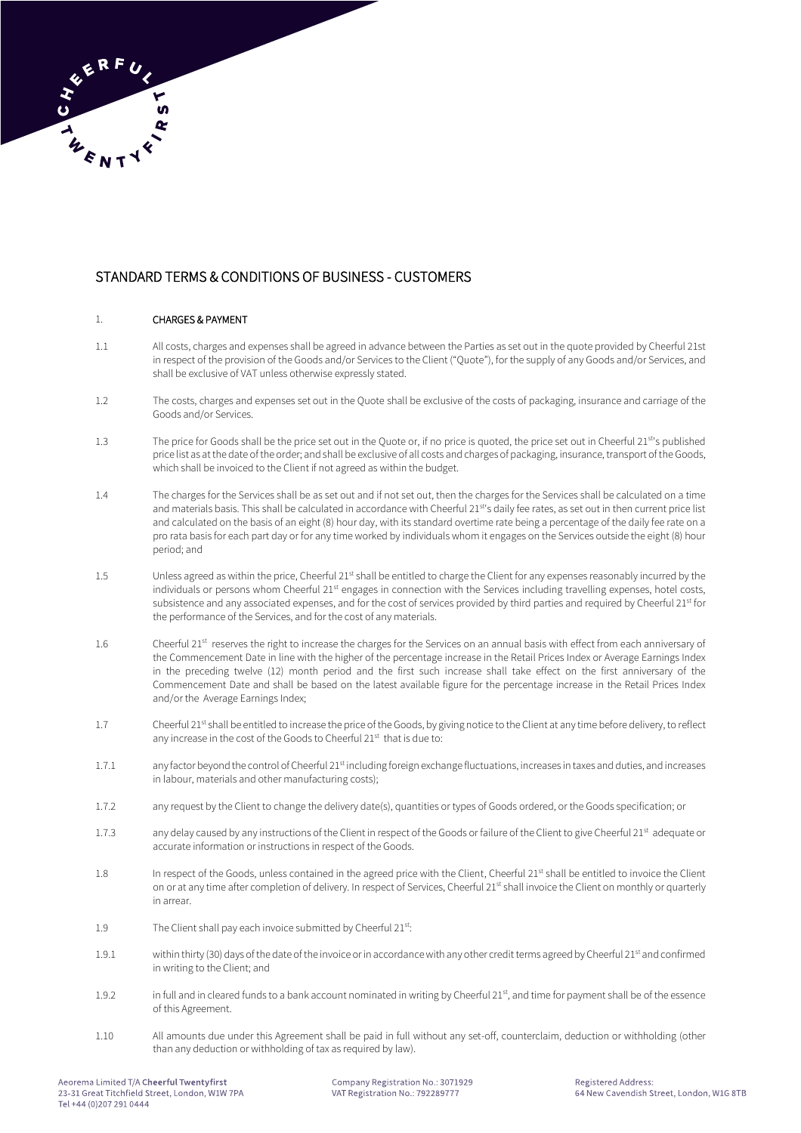# STANDARD TERMS & CONDITIONS OF BUSINESS - CUSTOMERS

# 1. CHARGES & PAYMENT

- 1.1 All costs, charges and expenses shall be agreed in advance between the Parties as set out in the quote provided by Cheerful 21st in respect of the provision of the Goods and/or Services to the Client ("Quote"), for the supply of any Goods and/or Services, and shall be exclusive of VAT unless otherwise expressly stated.
- 1.2 The costs, charges and expenses set out in the Quote shall be exclusive of the costs of packaging, insurance and carriage of the Goods and/or Services.
- 1.3 The price for Goods shall be the price set out in the Quote or, if no price is quoted, the price set out in Cheerful 21<sup>st'</sup>s published price list as at the date of the order; and shall be exclusive of all costs and charges of packaging, insurance, transport of the Goods, which shall be invoiced to the Client if not agreed as within the budget.
- 1.4 The charges for the Services shall be as set out and if not set out, then the charges for the Services shall be calculated on a time and materials basis. This shall be calculated in accordance with Cheerful 21st's daily fee rates, as set out in then current price list and calculated on the basis of an eight (8) hour day, with its standard overtime rate being a percentage of the daily fee rate on a pro rata basis for each part day or for any time worked by individuals whom it engages on the Services outside the eight (8) hour period; and
- 1.5 Unless agreed as within the price, Cheerful 21<sup>st</sup> shall be entitled to charge the Client for any expenses reasonably incurred by the individuals or persons whom Cheerful 21<sup>st</sup> engages in connection with the Services including travelling expenses, hotel costs, subsistence and any associated expenses, and for the cost of services provided by third parties and required by Cheerful 21<sup>st</sup> for the performance of the Services, and for the cost of any materials.
- 1.6 Cheerful 21st reserves the right to increase the charges for the Services on an annual basis with effect from each anniversary of the Commencement Date in line with the higher of the percentage increase in the Retail Prices Index or Average Earnings Index in the preceding twelve (12) month period and the first such increase shall take effect on the first anniversary of the Commencement Date and shall be based on the latest available figure for the percentage increase in the Retail Prices Index and/or the Average Earnings Index;
- 1.7 Cheerful 21<sup>st</sup> shall be entitled to increase the price of the Goods, by giving notice to the Client at any time before delivery, to reflect any increase in the cost of the Goods to Cheerful 21st that is due to:
- 1.7.1 any factor beyond the control of Cheerful 21<sup>st</sup> including foreign exchange fluctuations, increases in taxes and duties, and increases in labour, materials and other manufacturing costs);
- 1.7.2 any request by the Client to change the delivery date(s), quantities or types of Goods ordered, or the Goods specification; or
- 1.7.3 any delay caused by any instructions of the Client in respect of the Goods or failure of the Client to give Cheerful 21<sup>st</sup> adequate or accurate information or instructions in respect of the Goods.
- 1.8 In respect of the Goods, unless contained in the agreed price with the Client, Cheerful 21<sup>st</sup> shall be entitled to invoice the Client on or at any time after completion of delivery. In respect of Services, Cheerful 21<sup>st</sup> shall invoice the Client on monthly or quarterly in arrear.
- 1.9 The Client shall pay each invoice submitted by Cheerful 21st:
- 1.9.1 within thirty (30) days of the date of the invoice or in accordance with any other credit terms agreed by Cheerful 21<sup>st</sup> and confirmed in writing to the Client; and
- 1.9.2 in full and in cleared funds to a bank account nominated in writing by Cheerful 21<sup>st</sup>, and time for payment shall be of the essence of this Agreement.
- 1.10 All amounts due under this Agreement shall be paid in full without any set-off, counterclaim, deduction or withholding (other than any deduction or withholding of tax as required by law).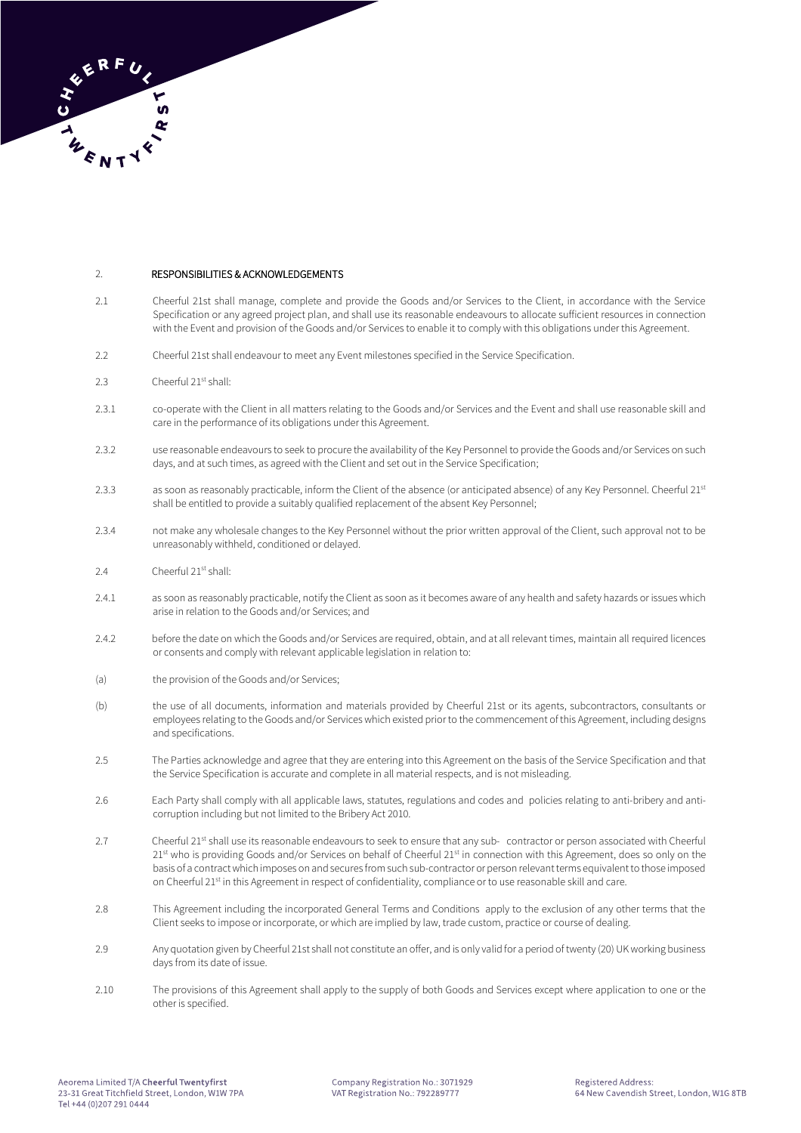

# 2. RESPONSIBILITIES & ACKNOWLEDGEMENTS

- 2.1 Cheerful 21st shall manage, complete and provide the Goods and/or Services to the Client, in accordance with the Service Specification or any agreed project plan, and shall use its reasonable endeavours to allocate sufficient resources in connection with the Event and provision of the Goods and/or Services to enable it to comply with this obligations under this Agreement.
- 2.2 Cheerful 21st shall endeavour to meet any Event milestones specified in the Service Specification.
- 2.3 Cheerful 21st shall:
- 2.3.1 co-operate with the Client in all matters relating to the Goods and/or Services and the Event and shall use reasonable skill and care in the performance of its obligations under this Agreement.
- 2.3.2 use reasonable endeavours to seek to procure the availability of the Key Personnel to provide the Goods and/or Services on such days, and at such times, as agreed with the Client and set out in the Service Specification;
- 2.3.3 as soon as reasonably practicable, inform the Client of the absence (or anticipated absence) of any Key Personnel. Cheerful 21st shall be entitled to provide a suitably qualified replacement of the absent Key Personnel;
- 2.3.4 not make any wholesale changes to the Key Personnel without the prior written approval of the Client, such approval not to be unreasonably withheld, conditioned or delayed.
- 2.4 Cheerful 21<sup>st</sup> shall:
- 2.4.1 as soon as reasonably practicable, notify the Client as soon as it becomes aware of any health and safety hazards or issues which arise in relation to the Goods and/or Services; and
- 2.4.2 before the date on which the Goods and/or Services are required, obtain, and at all relevant times, maintain all required licences or consents and comply with relevant applicable legislation in relation to:
- (a) the provision of the Goods and/or Services;
- (b) the use of all documents, information and materials provided by Cheerful 21st or its agents, subcontractors, consultants or employees relating to the Goods and/or Services which existed prior to the commencement of this Agreement, including designs and specifications.
- 2.5 The Parties acknowledge and agree that they are entering into this Agreement on the basis of the Service Specification and that the Service Specification is accurate and complete in all material respects, and is not misleading.
- 2.6 Each Party shall comply with all applicable laws, statutes, regulations and codes and policies relating to anti-bribery and anticorruption including but not limited to the Bribery Act 2010.
- 2.7 Cheerful 21<sup>st</sup> shall use its reasonable endeavours to seek to ensure that any sub- contractor or person associated with Cheerful 21<sup>st</sup> who is providing Goods and/or Services on behalf of Cheerful 21<sup>st</sup> in connection with this Agreement, does so only on the basis of a contract which imposes on and secures from such sub-contractor or person relevant terms equivalent to those imposed on Cheerful 21<sup>st</sup> in this Agreement in respect of confidentiality, compliance or to use reasonable skill and care.
- 2.8 This Agreement including the incorporated General Terms and Conditions apply to the exclusion of any other terms that the Client seeks to impose or incorporate, or which are implied by law, trade custom, practice or course of dealing.
- 2.9 Any quotation given by Cheerful 21st shall not constitute an offer, and is only valid for a period of twenty (20) UK working business days from its date of issue.
- 2.10 The provisions of this Agreement shall apply to the supply of both Goods and Services except where application to one or the other is specified.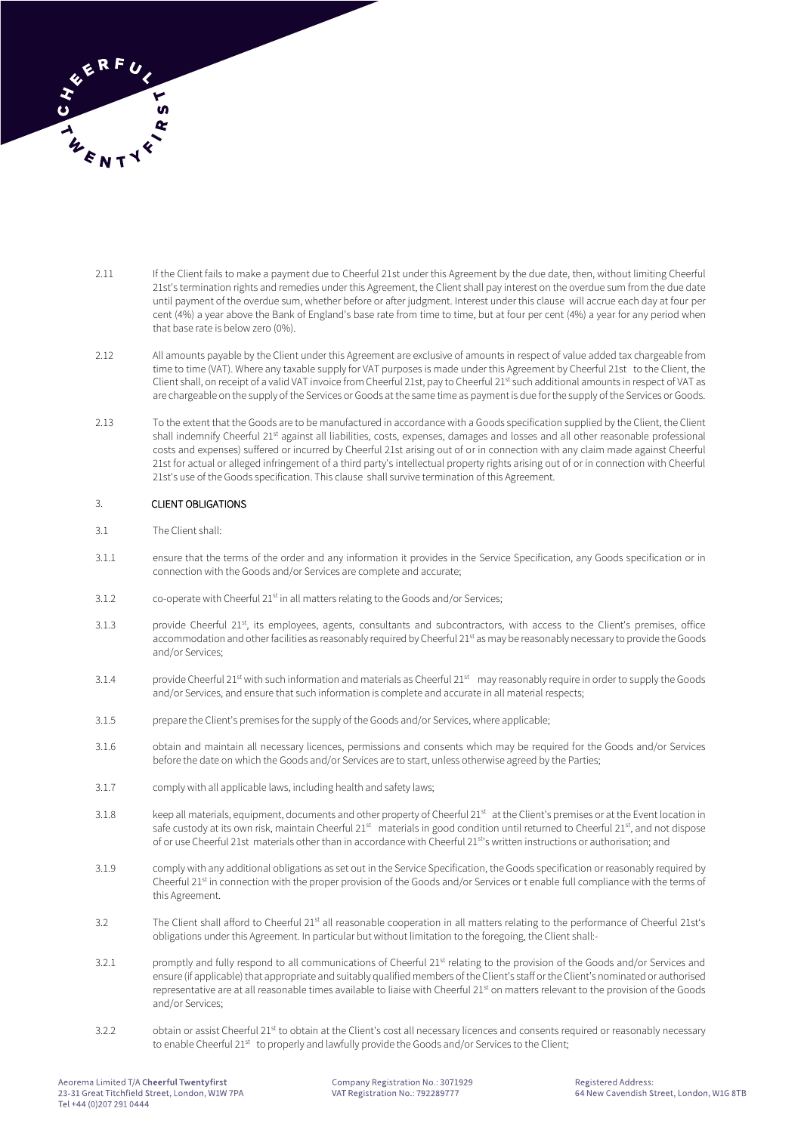

- 2.11 If the Client fails to make a payment due to Cheerful 21st under this Agreement by the due date, then, without limiting Cheerful 21st's termination rights and remedies under this Agreement, the Client shall pay interest on the overdue sum from the due date until payment of the overdue sum, whether before or after judgment. Interest under this clause will accrue each day at four per cent (4%) a year above the Bank of England's base rate from time to time, but at four per cent (4%) a year for any period when that base rate is below zero (0%).
- 2.12 All amounts payable by the Client under this Agreement are exclusive of amounts in respect of value added tax chargeable from time to time (VAT). Where any taxable supply for VAT purposes is made under this Agreement by Cheerful 21st to the Client, the Client shall, on receipt of a valid VAT invoice from Cheerful 21st, pay to Cheerful 21st such additional amounts in respect of VAT as are chargeable on the supply of the Services or Goods at the same time as payment is due for the supply of the Services or Goods.
- 2.13 To the extent that the Goods are to be manufactured in accordance with a Goods specification supplied by the Client, the Client shall indemnify Cheerful 21<sup>st</sup> against all liabilities, costs, expenses, damages and losses and all other reasonable professional costs and expenses) suffered or incurred by Cheerful 21st arising out of or in connection with any claim made against Cheerful 21st for actual or alleged infringement of a third party's intellectual property rights arising out of or in connection with Cheerful 21st's use of the Goods specification. This clause shall survive termination of this Agreement.

# 3. CLIENT OBLIGATIONS

- 3.1 The Client shall:
- 3.1.1 ensure that the terms of the order and any information it provides in the Service Specification, any Goods specification or in connection with the Goods and/or Services are complete and accurate;
- 3.1.2 co-operate with Cheerful 21<sup>st</sup> in all matters relating to the Goods and/or Services;
- 3.1.3 provide Cheerful 21st, its employees, agents, consultants and subcontractors, with access to the Client's premises, office accommodation and other facilities as reasonably required by Cheerful 21<sup>st</sup> as may be reasonably necessary to provide the Goods and/or Services;
- 3.1.4 provide Cheerful 21<sup>st</sup> with such information and materials as Cheerful 21<sup>st</sup> may reasonably require in order to supply the Goods and/or Services, and ensure that such information is complete and accurate in all material respects;
- 3.1.5 prepare the Client's premises for the supply of the Goods and/or Services, where applicable;
- 3.1.6 obtain and maintain all necessary licences, permissions and consents which may be required for the Goods and/or Services before the date on which the Goods and/or Services are to start, unless otherwise agreed by the Parties;
- 3.1.7 comply with all applicable laws, including health and safety laws;
- 3.1.8 keep all materials, equipment, documents and other property of Cheerful 21<sup>st</sup> at the Client's premises or at the Event location in safe custody at its own risk, maintain Cheerful 21<sup>st</sup> materials in good condition until returned to Cheerful 21<sup>st</sup>, and not dispose of or use Cheerful 21st materials other than in accordance with Cheerful 21<sup>st</sup>'s written instructions or authorisation; and
- 3.1.9 comply with any additional obligations as set out in the Service Specification, the Goods specification or reasonably required by Cheerful 21<sup>st</sup> in connection with the proper provision of the Goods and/or Services or t enable full compliance with the terms of this Agreement.
- 3.2 The Client shall afford to Cheerful 21<sup>st</sup> all reasonable cooperation in all matters relating to the performance of Cheerful 21st's obligations under this Agreement. In particular but without limitation to the foregoing, the Client shall:-
- 3.2.1 promptly and fully respond to all communications of Cheerful 21<sup>st</sup> relating to the provision of the Goods and/or Services and ensure (if applicable) that appropriate and suitably qualified members of the Client's staff or the Client's nominated or authorised representative are at all reasonable times available to liaise with Cheerful 21<sup>st</sup> on matters relevant to the provision of the Goods and/or Services;
- 3.2.2 obtain or assist Cheerful 21<sup>st</sup> to obtain at the Client's cost all necessary licences and consents required or reasonably necessary to enable Cheerful 21st to properly and lawfully provide the Goods and/or Services to the Client;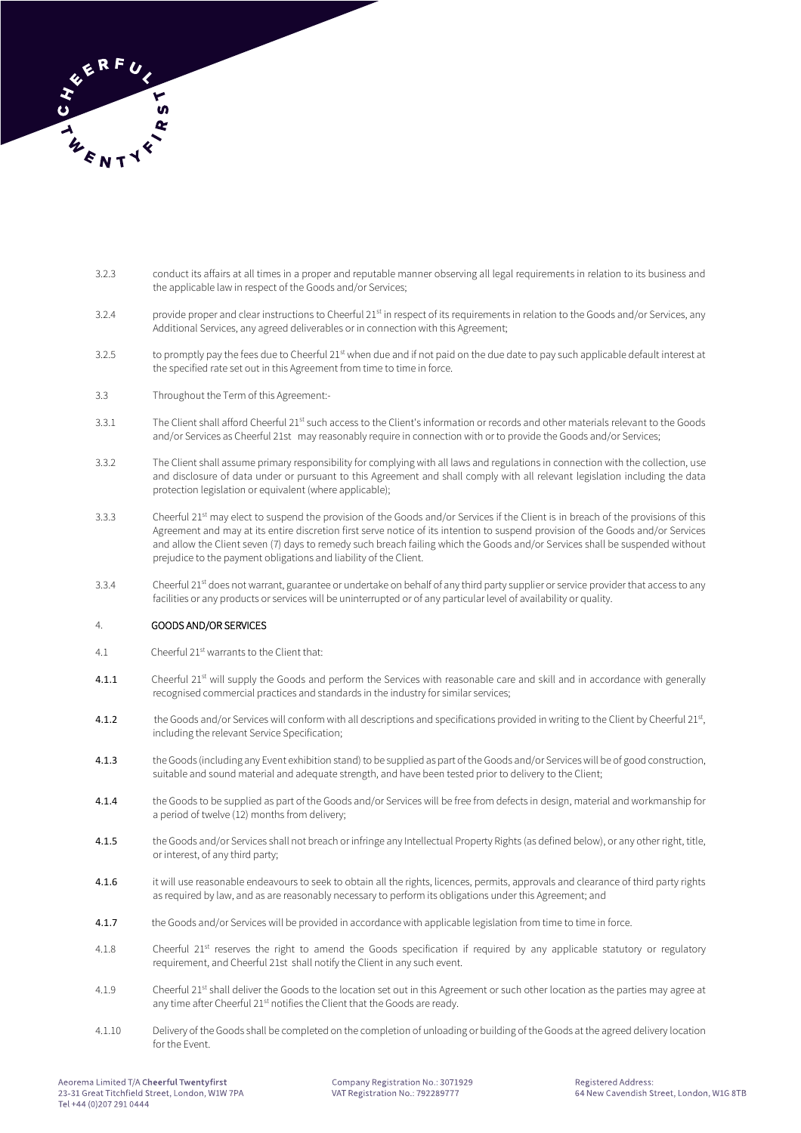

- 3.2.3 conduct its affairs at all times in a proper and reputable manner observing all legal requirements in relation to its business and the applicable law in respect of the Goods and/or Services;
- 3.2.4 provide proper and clear instructions to Cheerful 21<sup>st</sup> in respect of its requirements in relation to the Goods and/or Services, any Additional Services, any agreed deliverables or in connection with this Agreement;
- 3.2.5 to promptly pay the fees due to Cheerful 21<sup>st</sup> when due and if not paid on the due date to pay such applicable default interest at the specified rate set out in this Agreement from time to time in force.
- 3.3 Throughout the Term of this Agreement:-
- 3.3.1 The Client shall afford Cheerful 21<sup>st</sup> such access to the Client's information or records and other materials relevant to the Goods and/or Services as Cheerful 21st may reasonably require in connection with or to provide the Goods and/or Services;
- 3.3.2 The Client shall assume primary responsibility for complying with all laws and regulations in connection with the collection, use and disclosure of data under or pursuant to this Agreement and shall comply with all relevant legislation including the data protection legislation or equivalent (where applicable);
- 3.3.3 Cheerful 21<sup>st</sup> may elect to suspend the provision of the Goods and/or Services if the Client is in breach of the provisions of this Agreement and may at its entire discretion first serve notice of its intention to suspend provision of the Goods and/or Services and allow the Client seven (7) days to remedy such breach failing which the Goods and/or Services shall be suspended without prejudice to the payment obligations and liability of the Client.
- 3.3.4 Cheerful 21<sup>st</sup> does not warrant, guarantee or undertake on behalf of any third party supplier or service provider that access to any facilities or any products or services will be uninterrupted or of any particular level of availability or quality.

# 4. GOODS AND/OR SERVICES

- 4.1 Cheerful 21<sup>st</sup> warrants to the Client that:
- 4.1.1 Cheerful 21<sup>st</sup> will supply the Goods and perform the Services with reasonable care and skill and in accordance with generally recognised commercial practices and standards in the industry for similar services;
- **4.1.2** the Goods and/or Services will conform with all descriptions and specifications provided in writing to the Client by Cheerful 21<sup>st</sup>, including the relevant Service Specification;
- 4.1.3 the Goods (including any Event exhibition stand) to be supplied as part of the Goods and/or Serviceswill be of good construction, suitable and sound material and adequate strength, and have been tested prior to delivery to the Client;
- 4.1.4 the Goods to be supplied as part of the Goods and/or Services will be free from defects in design, material and workmanship for a period of twelve (12) months from delivery;
- 4.1.5 the Goods and/or Services shall not breach or infringe any Intellectual Property Rights (as defined below), or any other right, title, or interest, of any third party;
- 4.1.6 it will use reasonable endeavours to seek to obtain all the rights, licences, permits, approvals and clearance of third party rights as required by law, and as are reasonably necessary to perform its obligations under this Agreement; and
- 4.1.7 the Goods and/or Services will be provided in accordance with applicable legislation from time to time in force.
- 4.1.8 Cheerful 21<sup>st</sup> reserves the right to amend the Goods specification if required by any applicable statutory or regulatory requirement, and Cheerful 21st shall notify the Client in any such event.
- 4.1.9 Cheerful 21<sup>st</sup> shall deliver the Goods to the location set out in this Agreement or such other location as the parties may agree at any time after Cheerful 21<sup>st</sup> notifies the Client that the Goods are ready.
- 4.1.10 Delivery of the Goods shall be completed on the completion of unloading or building of the Goods at the agreed delivery location for the Event.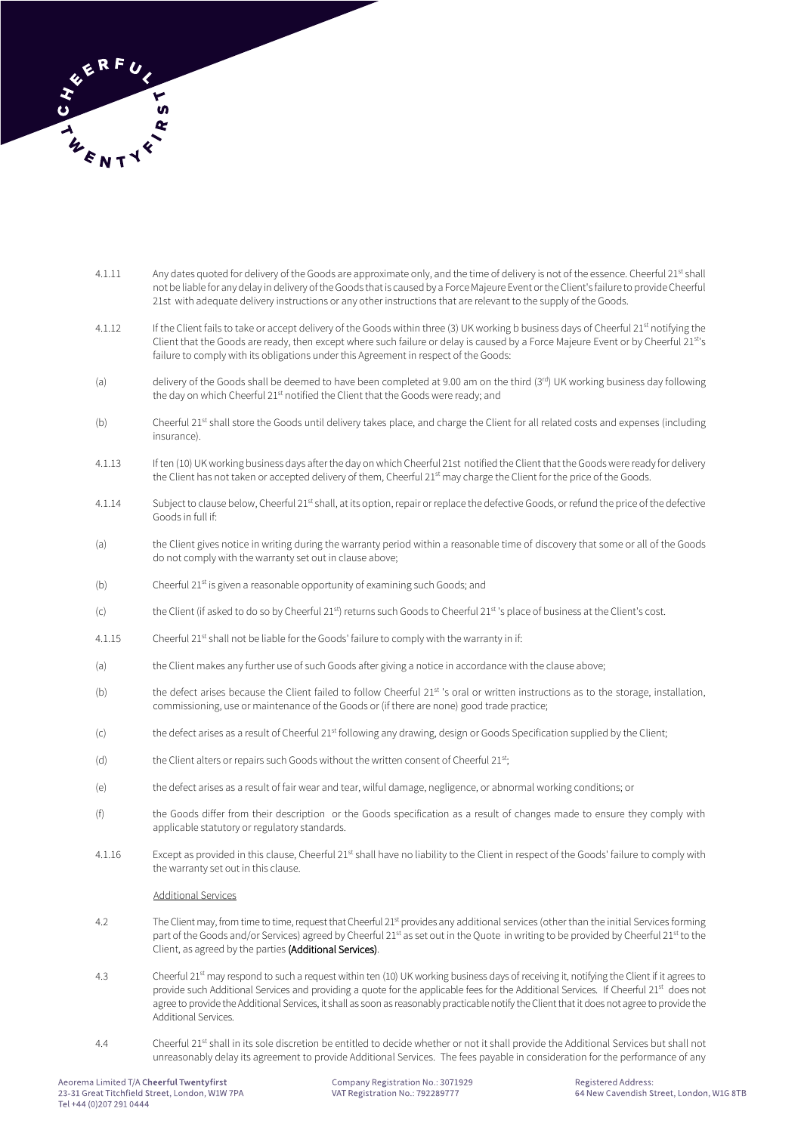

- 4.1.11 Any dates quoted for delivery of the Goods are approximate only, and the time of delivery is not of the essence. Cheerful 21<sup>st</sup> shall not be liable for any delay in delivery of the Goods that is caused by a Force Majeure Event or the Client's failure to provide Cheerful 21st with adequate delivery instructions or any other instructions that are relevant to the supply of the Goods.
- 4.1.12 If the Client fails to take or accept delivery of the Goods within three (3) UK working b business days of Cheerful 21<sup>st</sup> notifying the Client that the Goods are ready, then except where such failure or delay is caused by a Force Majeure Event or by Cheerful 21<sup>st</sup>'s failure to comply with its obligations under this Agreement in respect of the Goods:
- (a) delivery of the Goods shall be deemed to have been completed at 9.00 am on the third (3<sup>rd</sup>) UK working business day following the day on which Cheerful 21<sup>st</sup> notified the Client that the Goods were ready; and
- (b) Cheerful 21<sup>st</sup> shall store the Goods until delivery takes place, and charge the Client for all related costs and expenses (including insurance).
- 4.1.13 If ten (10) UK working business days after the day on which Cheerful 21st notified the Client that the Goods were ready for delivery the Client has not taken or accepted delivery of them, Cheerful 21st may charge the Client for the price of the Goods.
- 4.1.14 Subject to clause below, Cheerful 21<sup>st</sup> shall, at its option, repair or replace the defective Goods, or refund the price of the defective Goods in full if:
- (a) the Client gives notice in writing during the warranty period within a reasonable time of discovery that some or all of the Goods do not comply with the warranty set out in clause above;
- $(b)$  Cheerful 21<sup>st</sup> is given a reasonable opportunity of examining such Goods; and
- (c) the Client (if asked to do so by Cheerful 21<sup>st)</sup> returns such Goods to Cheerful 21<sup>st</sup> 's place of business at the Client's cost.
- 4.1.15 Cheerful 21<sup>st</sup> shall not be liable for the Goods' failure to comply with the warranty in if:
- (a) the Client makes any further use of such Goods after giving a notice in accordance with the clause above;
- (b) the defect arises because the Client failed to follow Cheerful 21<sup>st</sup> 's oral or written instructions as to the storage, installation, commissioning, use or maintenance of the Goods or (if there are none) good trade practice;
- (c) the defect arises as a result of Cheerful 21<sup>st</sup> following any drawing, design or Goods Specification supplied by the Client;
- (d) the Client alters or repairs such Goods without the written consent of Cheerful 21<sup>st</sup>;
- (e) the defect arises as a result of fair wear and tear, wilful damage, negligence, or abnormal working conditions; or
- (f) the Goods differ from their description or the Goods specification as a result of changes made to ensure they comply with applicable statutory or regulatory standards.
- 4.1.16 Except as provided in this clause, Cheerful 21<sup>st</sup> shall have no liability to the Client in respect of the Goods' failure to comply with the warranty set out in this clause.

#### Additional Services

- 4.2 The Client may, from time to time, request that Cheerful 21<sup>st</sup> provides any additional services (other than the initial Services forming part of the Goods and/or Services) agreed by Cheerful 21<sup>st</sup> as set out in the Quote in writing to be provided by Cheerful 21<sup>st</sup> to the Client, as agreed by the parties (Additional Services).
- 4.3 Cheerful 21st may respond to such a request within ten (10) UK working business days of receiving it, notifying the Client if it agrees to provide such Additional Services and providing a quote for the applicable fees for the Additional Services. If Cheerful 21<sup>st</sup> does not agree to provide the Additional Services, it shall as soon as reasonably practicable notify the Client that it does not agree to provide the Additional Services.
- 4.4 Cheerful 21<sup>st</sup> shall in its sole discretion be entitled to decide whether or not it shall provide the Additional Services but shall not unreasonably delay its agreement to provide Additional Services. The fees payable in consideration for the performance of any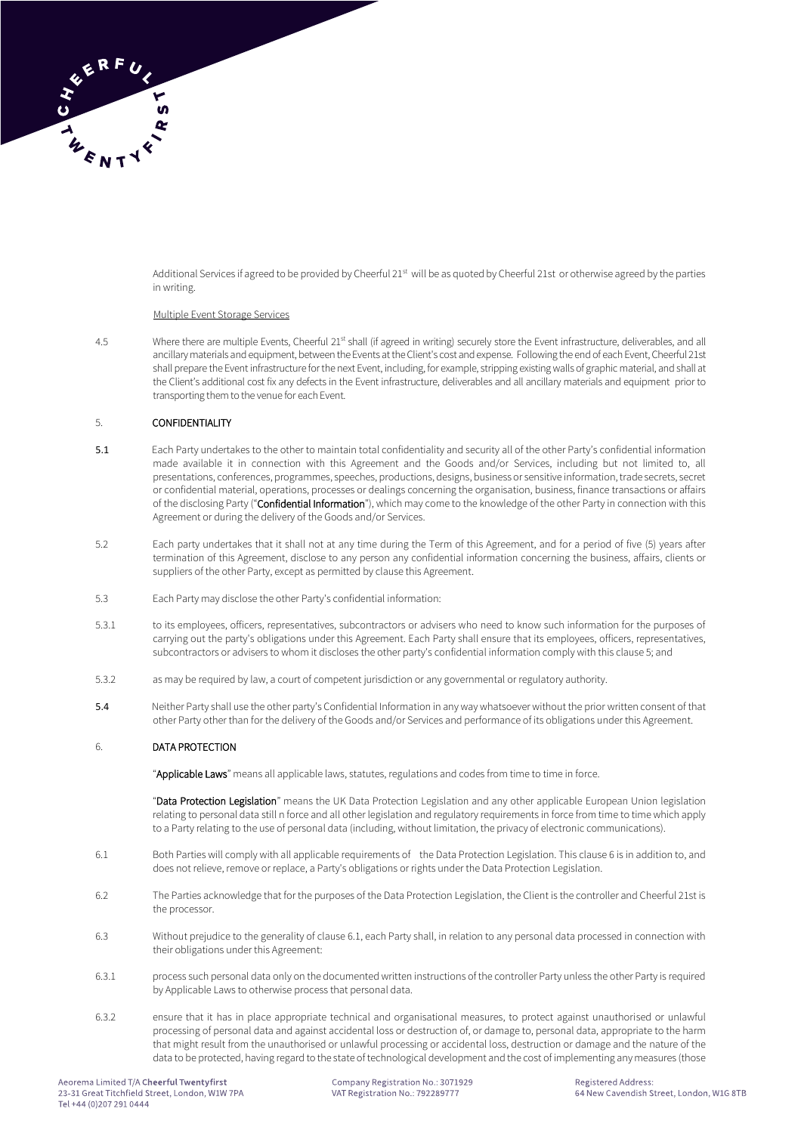

Additional Services if agreed to be provided by Cheerful 21st will be as quoted by Cheerful 21st or otherwise agreed by the parties in writing.

#### Multiple Event Storage Services

4.5 Where there are multiple Events, Cheerful 21<sup>st</sup> shall (if agreed in writing) securely store the Event infrastructure, deliverables, and all ancillary materials and equipment, between the Events at the Client's cost and expense. Following the end of each Event, Cheerful 21st shall prepare the Event infrastructure for the next Event, including, for example, stripping existing walls of graphic material, and shall at the Client's additional cost fix any defects in the Event infrastructure, deliverables and all ancillary materials and equipment prior to transporting them to the venue for each Event.

#### 5. CONFIDENTIALITY

- 5.1 Each Party undertakes to the other to maintain total confidentiality and security all of the other Party's confidential information made available it in connection with this Agreement and the Goods and/or Services, including but not limited to, all presentations, conferences, programmes, speeches, productions, designs, business or sensitive information, trade secrets, secret or confidential material, operations, processes or dealings concerning the organisation, business, finance transactions or affairs of the disclosing Party ("Confidential Information"), which may come to the knowledge of the other Party in connection with this Agreement or during the delivery of the Goods and/or Services.
- 5.2 Each party undertakes that it shall not at any time during the Term of this Agreement, and for a period of five (5) years after termination of this Agreement, disclose to any person any confidential information concerning the business, affairs, clients or suppliers of the other Party, except as permitted by clause this Agreement.
- 5.3 Each Party may disclose the other Party's confidential information:
- 5.3.1 to its employees, officers, representatives, subcontractors or advisers who need to know such information for the purposes of carrying out the party's obligations under this Agreement. Each Party shall ensure that its employees, officers, representatives, subcontractors or advisers to whom it discloses the other party's confidential information comply with this clause 5; and
- 5.3.2 as may be required by law, a court of competent jurisdiction or any governmental or regulatory authority.
- 5.4 Neither Party shall use the other party's Confidential Information in any way whatsoever without the prior written consent of that other Party other than for the delivery of the Goods and/or Services and performance of its obligations under this Agreement.

#### 6. DATA PROTECTION

"Applicable Laws" means all applicable laws, statutes, regulations and codes from time to time in force.

"Data Protection Legislation" means the UK Data Protection Legislation and any other applicable European Union legislation relating to personal data still n force and all other legislation and regulatory requirements in force from time to time which apply to a Party relating to the use of personal data (including, without limitation, the privacy of electronic communications).

- 6.1 Both Parties will comply with all applicable requirements of the Data Protection Legislation. This clause 6 is in addition to, and does not relieve, remove or replace, a Party's obligations or rights under the Data Protection Legislation.
- 6.2 The Parties acknowledge that for the purposes of the Data Protection Legislation, the Client is the controller and Cheerful 21st is the processor.
- 6.3 Without prejudice to the generality of clause 6.1, each Party shall, in relation to any personal data processed in connection with their obligations under this Agreement:
- 6.3.1 process such personal data only on the documented written instructions of the controller Party unless the other Party is required by Applicable Laws to otherwise process that personal data.
- 6.3.2 ensure that it has in place appropriate technical and organisational measures, to protect against unauthorised or unlawful processing of personal data and against accidental loss or destruction of, or damage to, personal data, appropriate to the harm that might result from the unauthorised or unlawful processing or accidental loss, destruction or damage and the nature of the data to be protected, having regard to the state of technological development and the cost of implementing any measures (those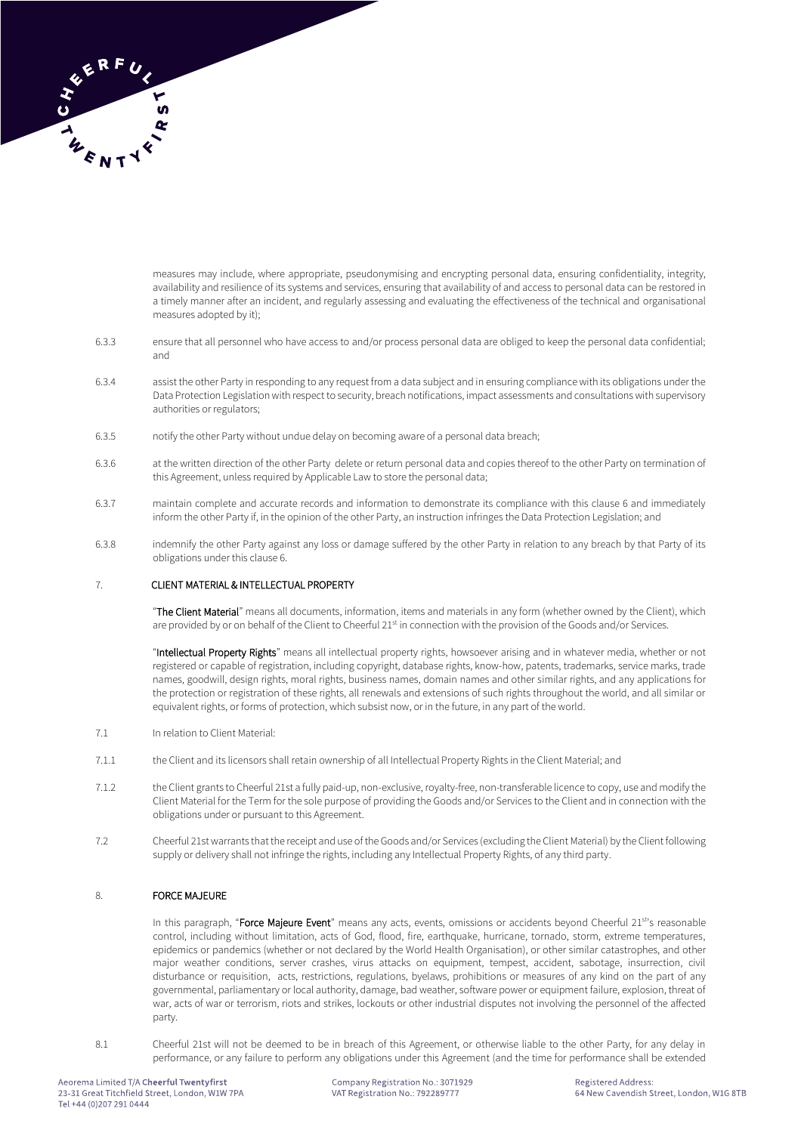

measures may include, where appropriate, pseudonymising and encrypting personal data, ensuring confidentiality, integrity, availability and resilience of its systems and services, ensuring that availability of and access to personal data can be restored in a timely manner after an incident, and regularly assessing and evaluating the effectiveness of the technical and organisational measures adopted by it);

- 6.3.3 ensure that all personnel who have access to and/or process personal data are obliged to keep the personal data confidential; and
- 6.3.4 assist the other Party in responding to any request from a data subject and in ensuring compliance with its obligations under the Data Protection Legislation with respect to security, breach notifications, impact assessments and consultations with supervisory authorities or regulators;
- 6.3.5 notify the other Party without undue delay on becoming aware of a personal data breach;
- 6.3.6 at the written direction of the other Party delete or return personal data and copies thereof to the other Party on termination of this Agreement, unless required by Applicable Law to store the personal data;
- 6.3.7 maintain complete and accurate records and information to demonstrate its compliance with this clause 6 and immediately inform the other Party if, in the opinion of the other Party, an instruction infringes the Data Protection Legislation; and
- 6.3.8 indemnify the other Party against any loss or damage suffered by the other Party in relation to any breach by that Party of its obligations under this clause 6.

# 7. CLIENT MATERIAL & INTELLECTUAL PROPERTY

"The Client Material" means all documents, information, items and materials in any form (whether owned by the Client), which are provided by or on behalf of the Client to Cheerful 21<sup>st</sup> in connection with the provision of the Goods and/or Services.

"Intellectual Property Rights" means all intellectual property rights, howsoever arising and in whatever media, whether or not registered or capable of registration, including copyright, database rights, know-how, patents, trademarks, service marks, trade names, goodwill, design rights, moral rights, business names, domain names and other similar rights, and any applications for the protection or registration of these rights, all renewals and extensions of such rights throughout the world, and all similar or equivalent rights, or forms of protection, which subsist now, or in the future, in any part of the world.

- 7.1 In relation to Client Material:
- 7.1.1 the Client and its licensors shall retain ownership of all Intellectual Property Rights in the Client Material; and
- 7.1.2 the Client grants to Cheerful 21st a fully paid-up, non-exclusive, royalty-free, non-transferable licence to copy, use and modify the Client Material for the Term for the sole purpose of providing the Goods and/or Services to the Client and in connection with the obligations under or pursuant to this Agreement.
- 7.2 Cheerful 21stwarrants that the receipt and use of the Goods and/or Services (excluding the Client Material) by the Client following supply or delivery shall not infringe the rights, including any Intellectual Property Rights, of any third party.

# 8. FORCE MAJEURE

In this paragraph, "Force Majeure Event" means any acts, events, omissions or accidents beyond Cheerful 21<sup>st</sup>'s reasonable control, including without limitation, acts of God, flood, fire, earthquake, hurricane, tornado, storm, extreme temperatures, epidemics or pandemics (whether or not declared by the World Health Organisation), or other similar catastrophes, and other major weather conditions, server crashes, virus attacks on equipment, tempest, accident, sabotage, insurrection, civil disturbance or requisition, acts, restrictions, regulations, byelaws, prohibitions or measures of any kind on the part of any governmental, parliamentary or local authority, damage, bad weather, software power or equipment failure, explosion, threat of war, acts of war or terrorism, riots and strikes, lockouts or other industrial disputes not involving the personnel of the affected party.

8.1 Cheerful 21st will not be deemed to be in breach of this Agreement, or otherwise liable to the other Party, for any delay in performance, or any failure to perform any obligations under this Agreement (and the time for performance shall be extended

Company Registration No.: 3071929 VAT Registration No.: 792289777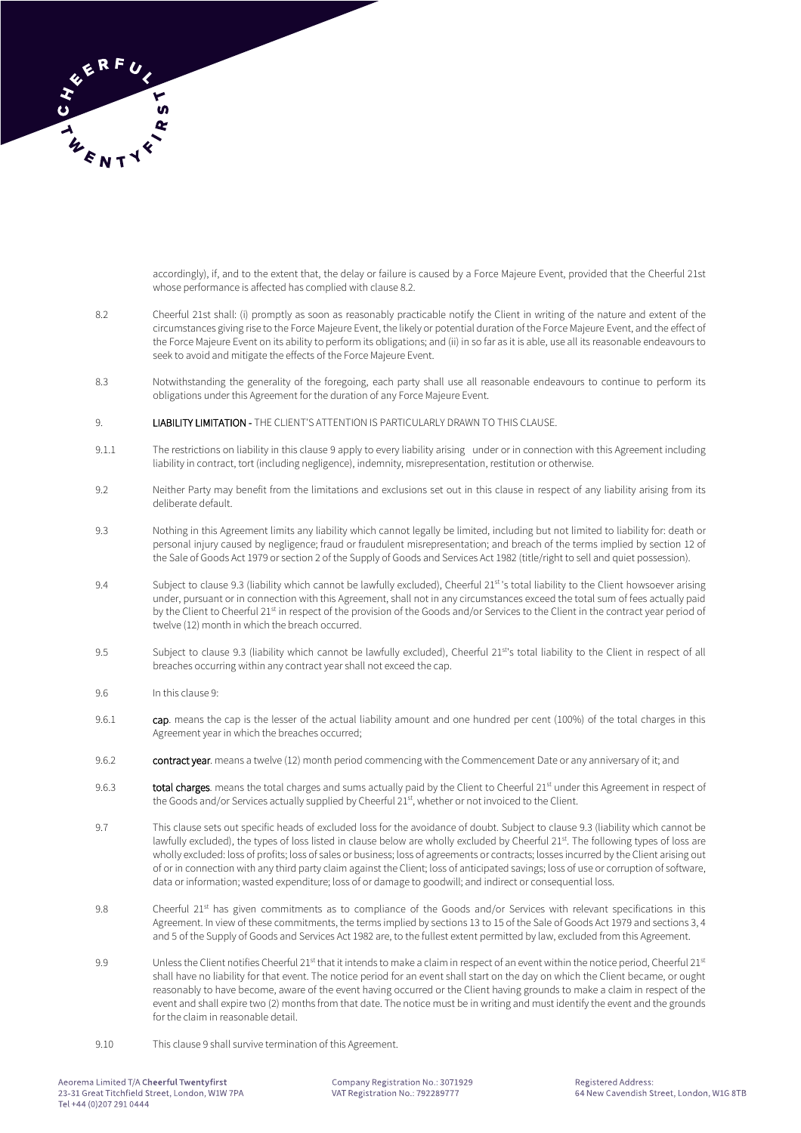

accordingly), if, and to the extent that, the delay or failure is caused by a Force Majeure Event, provided that the Cheerful 21st whose performance is affected has complied with clause 8.2.

- 8.2 Cheerful 21st shall: (i) promptly as soon as reasonably practicable notify the Client in writing of the nature and extent of the circumstances giving rise to the Force Majeure Event, the likely or potential duration of the Force Majeure Event, and the effect of the Force Majeure Event on its ability to perform its obligations; and (ii) in so far as it is able, use all its reasonable endeavours to seek to avoid and mitigate the effects of the Force Majeure Event.
- 8.3 Notwithstanding the generality of the foregoing, each party shall use all reasonable endeavours to continue to perform its obligations under this Agreement for the duration of any Force Majeure Event.
- 9. LIABILITY LIMITATION THE CLIENT'S ATTENTION IS PARTICULARLY DRAWN TO THIS CLAUSE.
- 9.1.1 The restrictions on liability in this clause 9 apply to every liability arising under or in connection with this Agreement including liability in contract, tort (including negligence), indemnity, misrepresentation, restitution or otherwise.
- 9.2 Neither Party may benefit from the limitations and exclusions set out in this clause in respect of any liability arising from its deliberate default.
- 9.3 Nothing in this Agreement limits any liability which cannot legally be limited, including but not limited to liability for: death or personal injury caused by negligence; fraud or fraudulent misrepresentation; and breach of the terms implied by section 12 of the Sale of Goods Act 1979 or section 2 of the Supply of Goods and Services Act 1982 (title/right to sell and quiet possession).
- 9.4 Subject to clause 9.3 (liability which cannot be lawfully excluded), Cheerful 21st's total liability to the Client howsoever arising under, pursuant or in connection with this Agreement, shall not in any circumstances exceed the total sum of fees actually paid by the Client to Cheerful 21st in respect of the provision of the Goods and/or Services to the Client in the contract year period of twelve (12) month in which the breach occurred.
- 9.5 Subject to clause 9.3 (liability which cannot be lawfully excluded), Cheerful 21st's total liability to the Client in respect of all breaches occurring within any contract year shall not exceed the cap.
- 9.6 In this clause 9:
- 9.6.1 cap. means the cap is the lesser of the actual liability amount and one hundred per cent (100%) of the total charges in this Agreement year in which the breaches occurred;
- 9.6.2 contract year. means a twelve (12) month period commencing with the Commencement Date or any anniversary of it; and
- 9.6.3 total charges. means the total charges and sums actually paid by the Client to Cheerful 21<sup>st</sup> under this Agreement in respect of the Goods and/or Services actually supplied by Cheerful 21st, whether or not invoiced to the Client.
- 9.7 This clause sets out specific heads of excluded loss for the avoidance of doubt. Subject to clause 9.3 (liability which cannot be lawfully excluded), the types of loss listed in clause below are wholly excluded by Cheerful 21st. The following types of loss are wholly excluded: loss of profits; loss of sales or business; loss of agreements or contracts; losses incurred by the Client arising out of or in connection with any third party claim against the Client; loss of anticipated savings; loss of use or corruption of software, data or information; wasted expenditure; loss of or damage to goodwill; and indirect or consequential loss.
- 9.8 Cheerful 21<sup>st</sup> has given commitments as to compliance of the Goods and/or Services with relevant specifications in this Agreement. In view of these commitments, the terms implied by sections 13 to 15 of the Sale of Goods Act 1979 and sections 3, 4 and 5 of the Supply of Goods and Services Act 1982 are, to the fullest extent permitted by law, excluded from this Agreement.
- 9.9 Unless the Client notifies Cheerful 21<sup>st</sup> that it intends to make a claim in respect of an event within the notice period, Cheerful 21st shall have no liability for that event. The notice period for an event shall start on the day on which the Client became, or ought reasonably to have become, aware of the event having occurred or the Client having grounds to make a claim in respect of the event and shall expire two (2) months from that date. The notice must be in writing and must identify the event and the grounds for the claim in reasonable detail.
- 9.10 This clause 9 shall survive termination of this Agreement.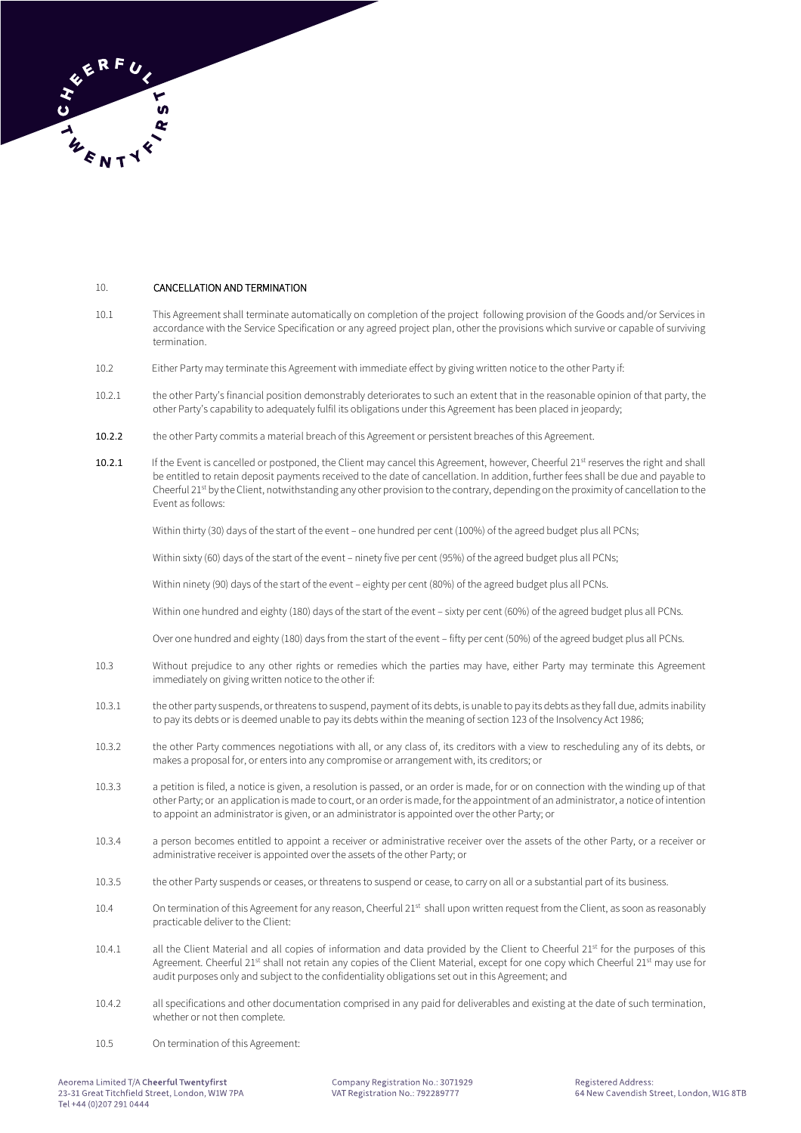

# 10. CANCELLATION AND TERMINATION

- 10.1 This Agreement shall terminate automatically on completion of the project following provision of the Goods and/or Services in accordance with the Service Specification or any agreed project plan, other the provisions which survive or capable of surviving termination.
- 10.2 Either Party may terminate this Agreement with immediate effect by giving written notice to the other Party if:
- 10.2.1 the other Party's financial position demonstrably deteriorates to such an extent that in the reasonable opinion of that party, the other Party's capability to adequately fulfil its obligations under this Agreement has been placed in jeopardy;
- 10.2.2 the other Party commits a material breach of this Agreement or persistent breaches of this Agreement.
- 10.2.1 If the Event is cancelled or postponed, the Client may cancel this Agreement, however, Cheerful 21<sup>st</sup> reserves the right and shall be entitled to retain deposit payments received to the date of cancellation. In addition, further fees shall be due and payable to Cheerful 21st by the Client, notwithstanding any other provision to the contrary, depending on the proximity of cancellation to the Event as follows:

Within thirty (30) days of the start of the event – one hundred per cent (100%) of the agreed budget plus all PCNs;

Within sixty (60) days of the start of the event – ninety five per cent (95%) of the agreed budget plus all PCNs;

Within ninety (90) days of the start of the event – eighty per cent (80%) of the agreed budget plus all PCNs.

Within one hundred and eighty (180) days of the start of the event – sixty per cent (60%) of the agreed budget plus all PCNs.

Over one hundred and eighty (180) days from the start of the event – fifty per cent (50%) of the agreed budget plus all PCNs.

- 10.3 Without prejudice to any other rights or remedies which the parties may have, either Party may terminate this Agreement immediately on giving written notice to the other if:
- 10.3.1 the other party suspends, or threatens to suspend, payment of its debts, is unable to pay its debts as they fall due, admits inability to pay its debts or is deemed unable to pay its debts within the meaning of section 123 of the Insolvency Act 1986;
- 10.3.2 the other Party commences negotiations with all, or any class of, its creditors with a view to rescheduling any of its debts, or makes a proposal for, or enters into any compromise or arrangement with, its creditors; or
- 10.3.3 a petition is filed, a notice is given, a resolution is passed, or an order is made, for or on connection with the winding up of that other Party; or an application is made to court, or an order is made, for the appointment of an administrator, a notice of intention to appoint an administrator is given, or an administrator is appointed over the other Party; or
- 10.3.4 a person becomes entitled to appoint a receiver or administrative receiver over the assets of the other Party, or a receiver or administrative receiver is appointed over the assets of the other Party; or
- 10.3.5 the other Party suspends or ceases, or threatens to suspend or cease, to carry on all or a substantial part of its business.
- 10.4 On termination of this Agreement for any reason, Cheerful 21<sup>st</sup> shall upon written request from the Client, as soon as reasonably practicable deliver to the Client:
- 10.4.1 all the Client Material and all copies of information and data provided by the Client to Cheerful 21<sup>st</sup> for the purposes of this Agreement. Cheerful 21st shall not retain any copies of the Client Material, except for one copy which Cheerful 21st may use for audit purposes only and subject to the confidentiality obligations set out in this Agreement; and
- 10.4.2 all specifications and other documentation comprised in any paid for deliverables and existing at the date of such termination, whether or not then complete.
- 10.5 On termination of this Agreement: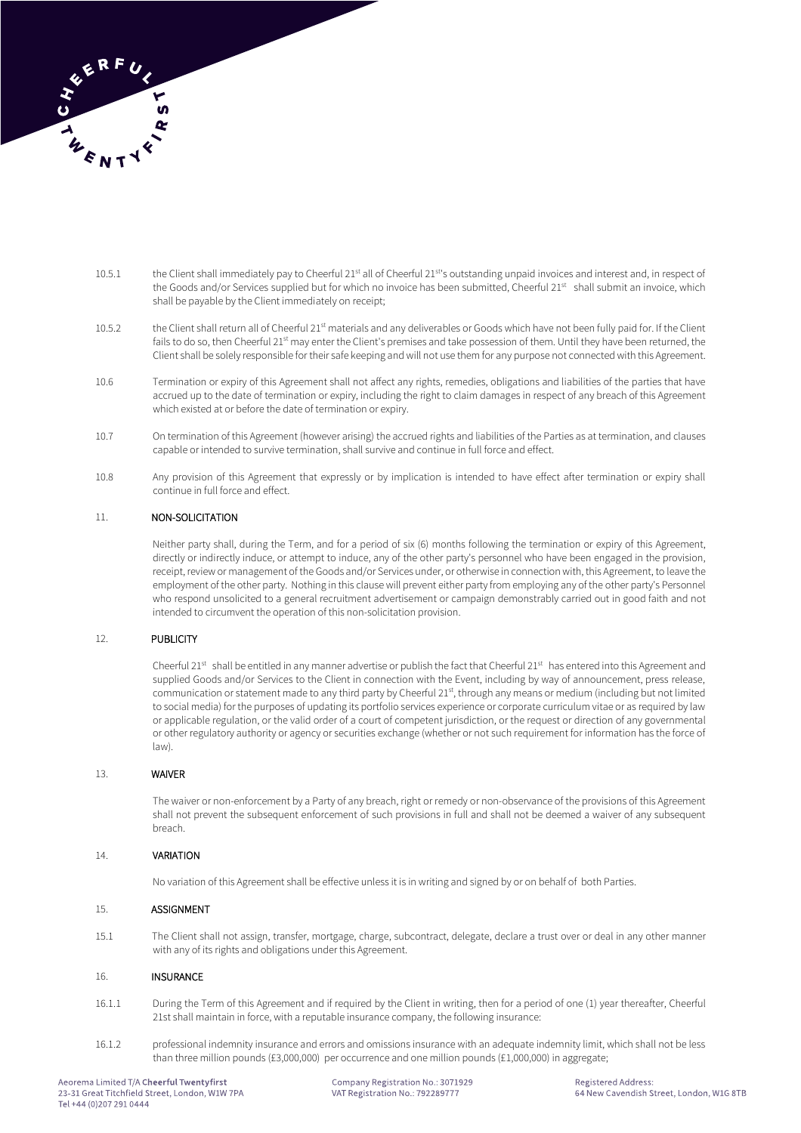

- 10.5.1 the Client shall immediately pay to Cheerful 21<sup>st</sup> all of Cheerful 21<sup>st</sup>'s outstanding unpaid invoices and interest and, in respect of the Goods and/or Services supplied but for which no invoice has been submitted, Cheerful 21<sup>st</sup> shall submit an invoice, which shall be payable by the Client immediately on receipt;
- 10.5.2 the Client shall return all of Cheerful 21st materials and any deliverables or Goods which have not been fully paid for. If the Client fails to do so, then Cheerful 21<sup>st</sup> may enter the Client's premises and take possession of them. Until they have been returned, the Client shall be solely responsible for their safe keeping and will not use them for any purpose not connected with this Agreement.
- 10.6 Termination or expiry of this Agreement shall not affect any rights, remedies, obligations and liabilities of the parties that have accrued up to the date of termination or expiry, including the right to claim damages in respect of any breach of this Agreement which existed at or before the date of termination or expiry.
- 10.7 On termination of this Agreement (however arising) the accrued rights and liabilities of the Parties as at termination, and clauses capable or intended to survive termination, shall survive and continue in full force and effect.
- 10.8 Any provision of this Agreement that expressly or by implication is intended to have effect after termination or expiry shall continue in full force and effect.

# 11. NON-SOLICITATION

Neither party shall, during the Term, and for a period of six (6) months following the termination or expiry of this Agreement, directly or indirectly induce, or attempt to induce, any of the other party's personnel who have been engaged in the provision, receipt, review or management of the Goods and/or Services under, or otherwise in connection with, this Agreement, to leave the employment of the other party. Nothing in this clause will prevent either party from employing any of the other party's Personnel who respond unsolicited to a general recruitment advertisement or campaign demonstrably carried out in good faith and not intended to circumvent the operation of this non-solicitation provision.

#### 12. PUBLICITY

Cheerful 21st shall be entitled in any manner advertise or publish the fact that Cheerful 21st has entered into this Agreement and supplied Goods and/or Services to the Client in connection with the Event, including by way of announcement, press release, communication or statement made to any third party by Cheerful 21st, through any means or medium (including but not limited to social media) for the purposes of updating its portfolio services experience or corporate curriculum vitae or as required by law or applicable regulation, or the valid order of a court of competent jurisdiction, or the request or direction of any governmental or other regulatory authority or agency or securities exchange (whether or not such requirement for information has the force of law).

#### 13. WAIVER

The waiver or non-enforcement by a Party of any breach, right or remedy or non-observance of the provisions of this Agreement shall not prevent the subsequent enforcement of such provisions in full and shall not be deemed a waiver of any subsequent breach.

# 14. VARIATION

No variation of this Agreement shall be effective unless it is in writing and signed by or on behalf of both Parties.

#### 15. ASSIGNMENT

15.1 The Client shall not assign, transfer, mortgage, charge, subcontract, delegate, declare a trust over or deal in any other manner with any of its rights and obligations under this Agreement.

#### 16. INSURANCE

- 16.1.1 During the Term of this Agreement and if required by the Client in writing, then for a period of one (1) year thereafter, Cheerful 21st shall maintain in force, with a reputable insurance company, the following insurance:
- 16.1.2 professional indemnity insurance and errors and omissions insurance with an adequate indemnity limit, which shall not be less than three million pounds (£3,000,000) per occurrence and one million pounds (£1,000,000) in aggregate;